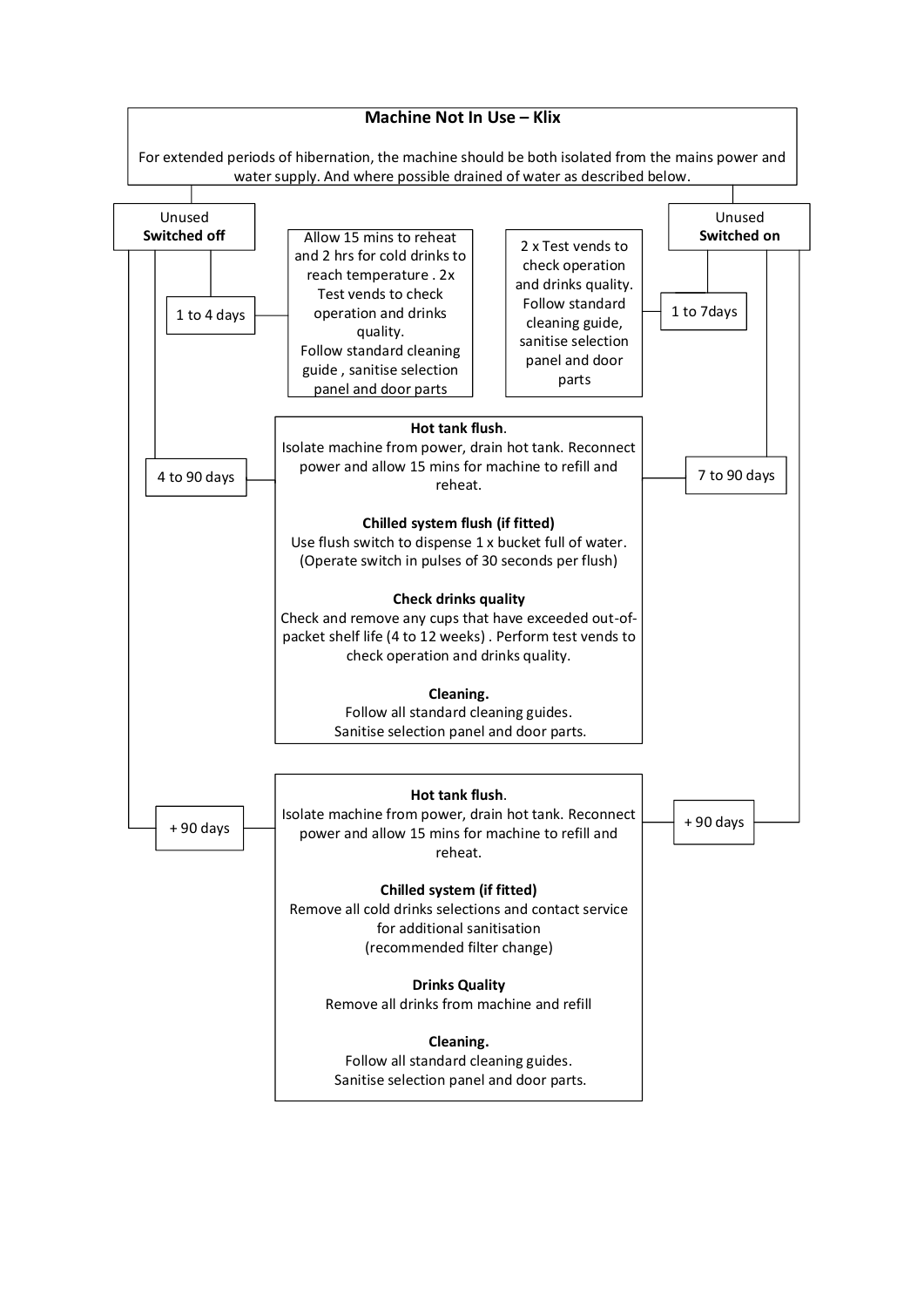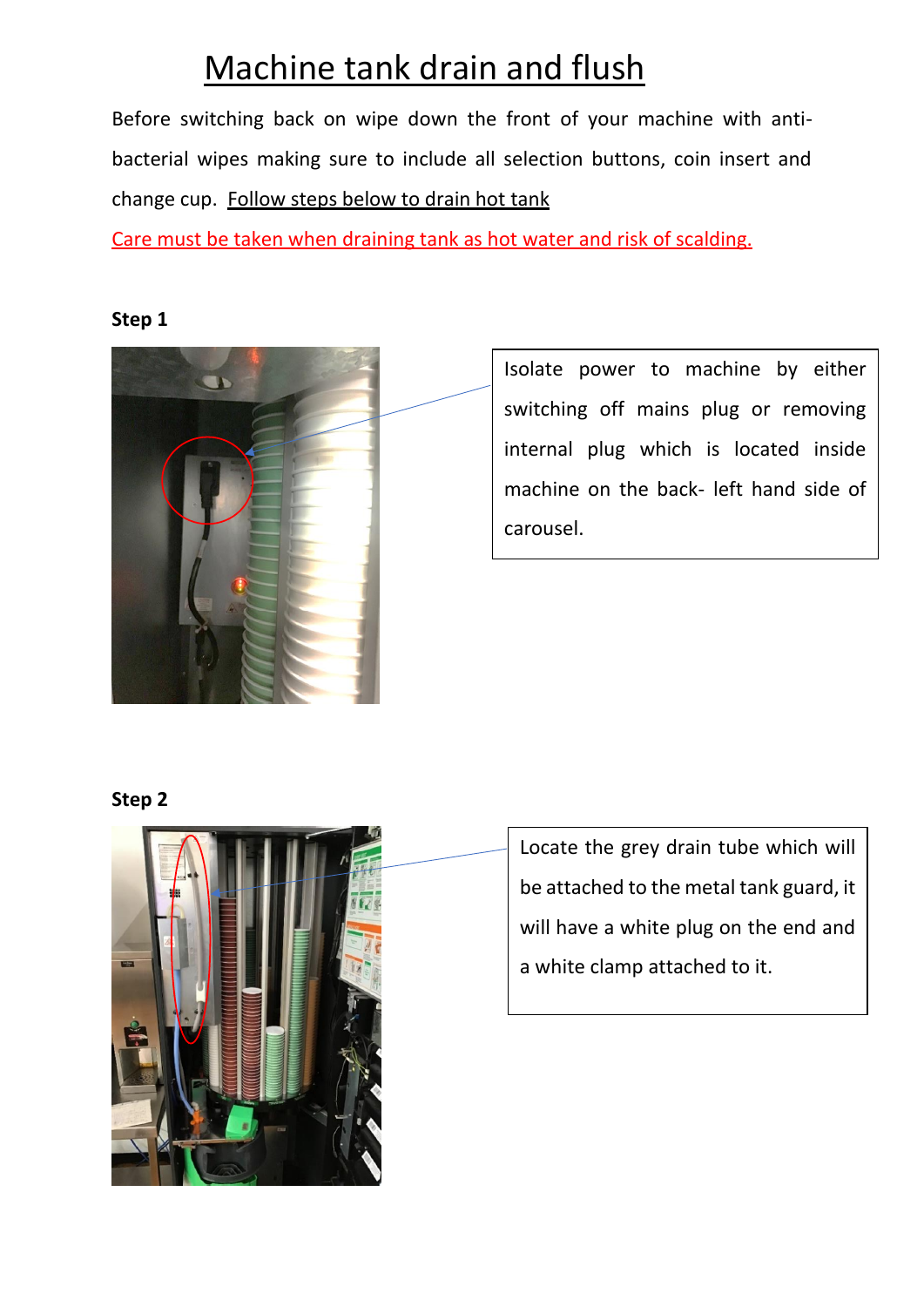# Machine tank drain and flush

Before switching back on wipe down the front of your machine with antibacterial wipes making sure to include all selection buttons, coin insert and change cup. Follow steps below to drain hot tank

Care must be taken when draining tank as hot water and risk of scalding.

#### **Step 1**



Isolate power to machine by either switching off mains plug or removing internal plug which is located inside machine on the back- left hand side of carousel.

#### **Step 2**



Locate the grey drain tube which will be attached to the metal tank guard, it will have a white plug on the end and a white clamp attached to it.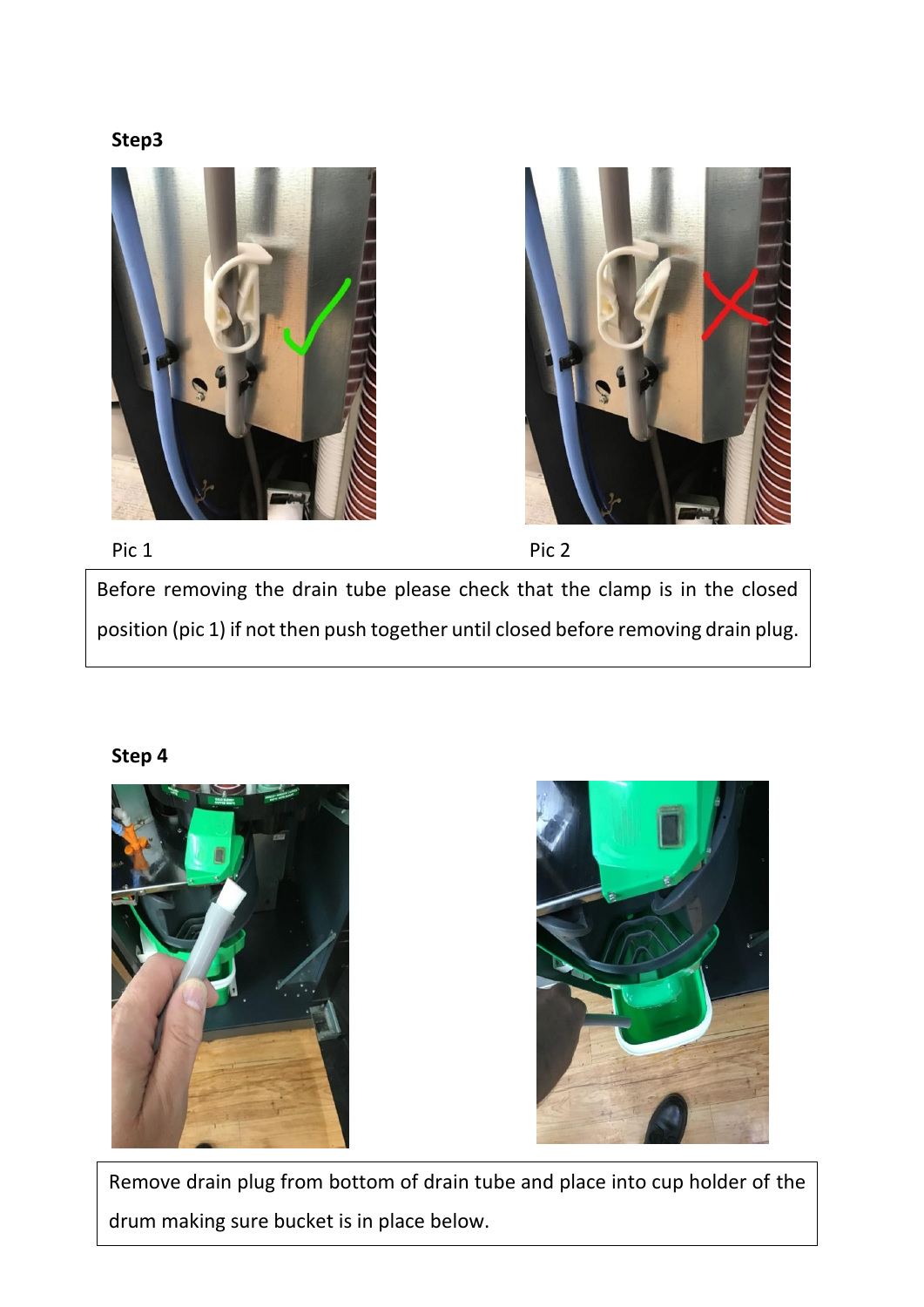**Step3**







Before removing the drain tube please check that the clamp is in the closed position (pic 1) if not then push together until closed before removing drain plug.

### **Step 4**





 Remove drain plug from bottom of drain tube and place into cup holder of the drum making sure bucket is in place below.